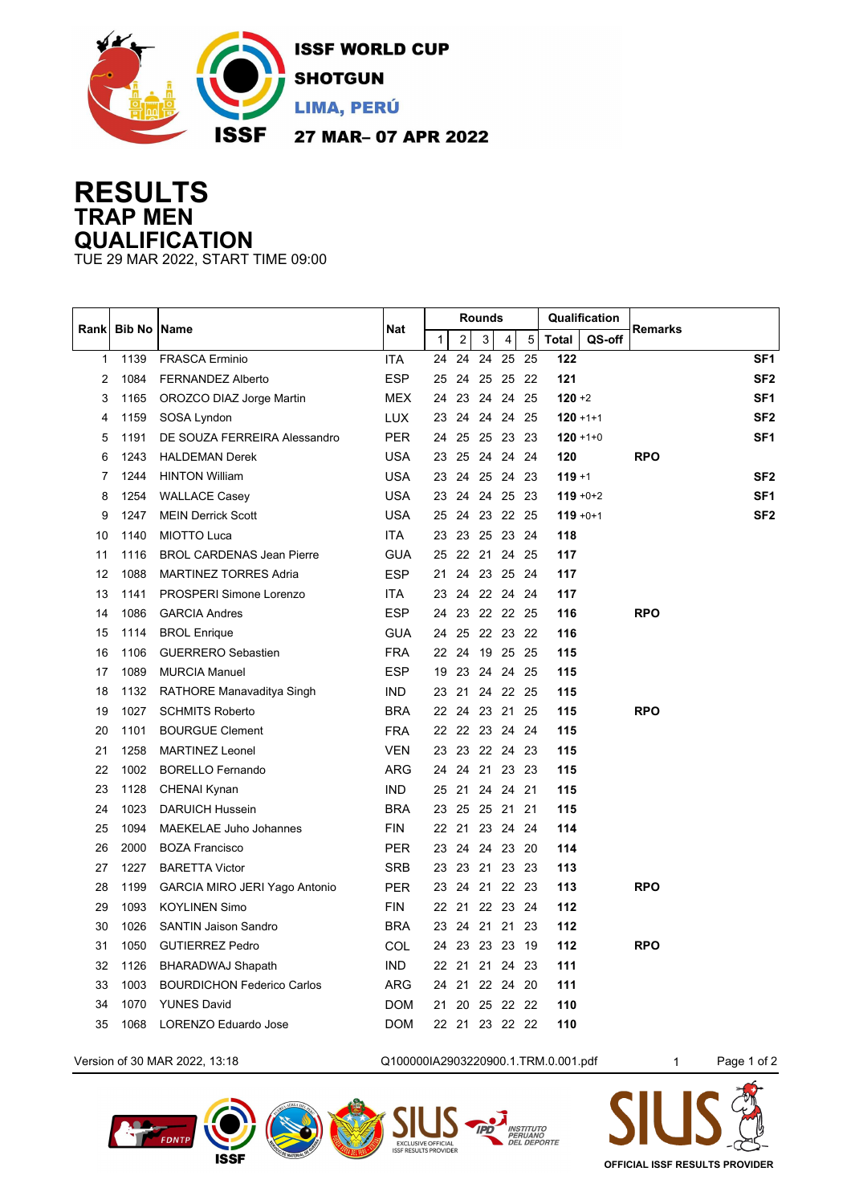

## **RESULTS TRAP MEN QUALIFICATION**

TUE 29 MAR 2022, START TIME 09:00

| Rankl        | <b>Bib No   Name</b> |                                   | Nat        | <b>Rounds</b> |                |          |                |    | Qualification |        |                 |
|--------------|----------------------|-----------------------------------|------------|---------------|----------------|----------|----------------|----|---------------|--------|-----------------|
|              |                      |                                   |            | $\mathbf{1}$  | $\overline{2}$ | 3        | 4              | 5  | <b>Total</b>  | QS-off | Remarks         |
| $\mathbf{1}$ | 1139                 | <b>FRASCA Erminio</b>             | <b>ITA</b> | 24            | 24             | 24       | 25             | 25 | 122           |        | SF <sub>1</sub> |
| 2            | 1084                 | <b>FERNANDEZ Alberto</b>          | <b>ESP</b> | 25            | 24             |          | 25 25 22       |    | 121           |        | SF <sub>2</sub> |
| 3            | 1165                 | OROZCO DIAZ Jorge Martin          | <b>MEX</b> | 24            | 23             |          | 24 24 25       |    | $120 + 2$     |        | SF <sub>1</sub> |
| 4            | 1159                 | SOSA Lyndon                       | <b>LUX</b> | 23            | 24             |          | 24 24 25       |    | $120 + 1 + 1$ |        | SF <sub>2</sub> |
| 5            | 1191                 | DE SOUZA FERREIRA Alessandro      | <b>PER</b> | 24            | 25             |          | 25 23 23       |    | $120 + 1 + 0$ |        | SF <sub>1</sub> |
| 6            | 1243                 | <b>HALDEMAN Derek</b>             | <b>USA</b> | 23            | 25             |          | 24 24 24       |    | 120           |        | <b>RPO</b>      |
| 7            | 1244                 | <b>HINTON William</b>             | <b>USA</b> | 23            |                |          | 24 25 24 23    |    | $119 + 1$     |        | SF <sub>2</sub> |
| 8            | 1254                 | <b>WALLACE Casey</b>              | <b>USA</b> | 23            |                |          | 24 24 25 23    |    | $119 + 0 + 2$ |        | SF <sub>1</sub> |
| 9            | 1247                 | <b>MEIN Derrick Scott</b>         | <b>USA</b> | 25            |                |          | 24 23 22 25    |    | $119 + 0 + 1$ |        | SF <sub>2</sub> |
| 10           | 1140                 | <b>MIOTTO Luca</b>                | <b>ITA</b> | 23            |                |          | 23 25 23 24    |    | 118           |        |                 |
| 11           | 1116                 | <b>BROL CARDENAS Jean Pierre</b>  | <b>GUA</b> | 25            |                |          | 22 21 24 25    |    | 117           |        |                 |
| 12           | 1088                 | <b>MARTINEZ TORRES Adria</b>      | <b>ESP</b> | 21            |                |          | 24 23 25 24    |    | 117           |        |                 |
| 13           | 1141                 | PROSPERI Simone Lorenzo           | <b>ITA</b> | 23            |                |          | 24 22 24 24    |    | 117           |        |                 |
| 14           | 1086                 | <b>GARCIA Andres</b>              | <b>ESP</b> | 24            |                |          | 23 22 22 25    |    | 116           |        | <b>RPO</b>      |
| 15           | 1114                 | <b>BROL Enrique</b>               | <b>GUA</b> | 24            |                |          | 25 22 23 22    |    | 116           |        |                 |
| 16           | 1106                 | <b>GUERRERO Sebastien</b>         | <b>FRA</b> | 22            | 24             |          | 19 25 25       |    | 115           |        |                 |
| 17           | 1089                 | <b>MURCIA Manuel</b>              | <b>ESP</b> | 19            |                |          | 23 24 24 25    |    | 115           |        |                 |
| 18           | 1132                 | RATHORE Manavaditya Singh         | <b>IND</b> | 23            |                |          | 21 24 22 25    |    | 115           |        |                 |
| 19           | 1027                 | <b>SCHMITS Roberto</b>            | <b>BRA</b> | 22            |                |          | 24 23 21 25    |    | 115           |        | <b>RPO</b>      |
| 20           | 1101                 | <b>BOURGUE Clement</b>            | <b>FRA</b> | 22            |                |          | 22 23 24       | 24 | 115           |        |                 |
| 21           | 1258                 | <b>MARTINEZ Leonel</b>            | VEN        | 23            |                |          | 23 22 24 23    |    | 115           |        |                 |
| 22           | 1002                 | <b>BORELLO Fernando</b>           | ARG        | 24            |                |          | 24 21 23 23    |    | 115           |        |                 |
| 23           | 1128                 | <b>CHENAI Kynan</b>               | <b>IND</b> | 25            | 21 24 24       |          |                | 21 | 115           |        |                 |
| 24           | 1023                 | <b>DARUICH Hussein</b>            | <b>BRA</b> | 23            |                | 25 25 21 |                | 21 | 115           |        |                 |
| 25           | 1094                 | <b>MAEKELAE Juho Johannes</b>     | <b>FIN</b> | 22            |                |          | 21 23 24       | 24 | 114           |        |                 |
| 26           | 2000                 | <b>BOZA Francisco</b>             | <b>PER</b> | 23            |                |          | 24 24 23 20    |    | 114           |        |                 |
| 27           | 1227                 | <b>BARETTA Victor</b>             | <b>SRB</b> | 23            |                |          | 23 21 23 23    |    | 113           |        |                 |
| 28           | 1199                 | GARCIA MIRO JERI Yago Antonio     | <b>PER</b> | 23            |                |          | 24 21 22 23    |    | 113           |        | <b>RPO</b>      |
| 29           | 1093                 | <b>KOYLINEN Simo</b>              | <b>FIN</b> | 22            |                |          | 21 22 23 24    |    | 112           |        |                 |
| 30           | 1026                 | <b>SANTIN Jaison Sandro</b>       | <b>BRA</b> | 23            |                |          | 24 21 21 23    |    | 112           |        |                 |
| 31           | 1050                 | <b>GUTIERREZ Pedro</b>            | COL        | 24            |                |          | 23 23 23 19    |    | 112           |        | <b>RPO</b>      |
| 32           | 1126                 | <b>BHARADWAJ Shapath</b>          | <b>IND</b> |               |                |          | 22 21 21 24 23 |    | 111           |        |                 |
| 33           | 1003                 | <b>BOURDICHON Federico Carlos</b> | ARG        |               |                |          | 24 21 22 24 20 |    | 111           |        |                 |
| 34           | 1070                 | <b>YUNES David</b>                | <b>DOM</b> | 21            |                |          | 20 25 22 22    |    | 110           |        |                 |
| 35           | 1068                 | LORENZO Eduardo Jose              | <b>DOM</b> |               |                |          | 22 21 23 22 22 |    | 110           |        |                 |
|              |                      |                                   |            |               |                |          |                |    |               |        |                 |

EXCLUSIVE OF



FDNTP

**ISSF** 

**OFFICIAL ISSF RESULTS PROVIDER**